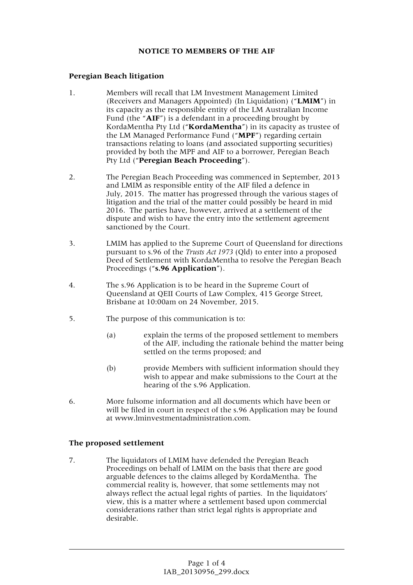## **NOTICE TO MEMBERS OF THE AIF**

## **Peregian Beach litigation**

- 1. Members will recall that LM Investment Management Limited (Receivers and Managers Appointed) (In Liquidation) ("**LMIM**") in its capacity as the responsible entity of the LM Australian Income Fund (the "**AIF**") is a defendant in a proceeding brought by KordaMentha Pty Ltd ("**KordaMentha**") in its capacity as trustee of the LM Managed Performance Fund ("**MPF**") regarding certain transactions relating to loans (and associated supporting securities) provided by both the MPF and AIF to a borrower, Peregian Beach Pty Ltd ("**Peregian Beach Proceeding**").
- 2. The Peregian Beach Proceeding was commenced in September, 2013 and LMIM as responsible entity of the AIF filed a defence in July, 2015. The matter has progressed through the various stages of litigation and the trial of the matter could possibly be heard in mid 2016. The parties have, however, arrived at a settlement of the dispute and wish to have the entry into the settlement agreement sanctioned by the Court.
- 3. LMIM has applied to the Supreme Court of Queensland for directions pursuant to s.96 of the *Trusts Act 1973* (Qld) to enter into a proposed Deed of Settlement with KordaMentha to resolve the Peregian Beach Proceedings ("**s.96 Application**").
- 4. The s.96 Application is to be heard in the Supreme Court of Queensland at QEII Courts of Law Complex, 415 George Street, Brisbane at 10:00am on 24 November, 2015.
- 5. The purpose of this communication is to:
	- (a) explain the terms of the proposed settlement to members of the AIF, including the rationale behind the matter being settled on the terms proposed; and
	- (b) provide Members with sufficient information should they wish to appear and make submissions to the Court at the hearing of the s.96 Application.
- 6. More fulsome information and all documents which have been or will be filed in court in respect of the s.96 Application may be found at www.lminvestmentadministration.com.

## **The proposed settlement**

7. The liquidators of LMIM have defended the Peregian Beach Proceedings on behalf of LMIM on the basis that there are good arguable defences to the claims alleged by KordaMentha. The commercial reality is, however, that some settlements may not always reflect the actual legal rights of parties. In the liquidators' view, this is a matter where a settlement based upon commercial considerations rather than strict legal rights is appropriate and desirable.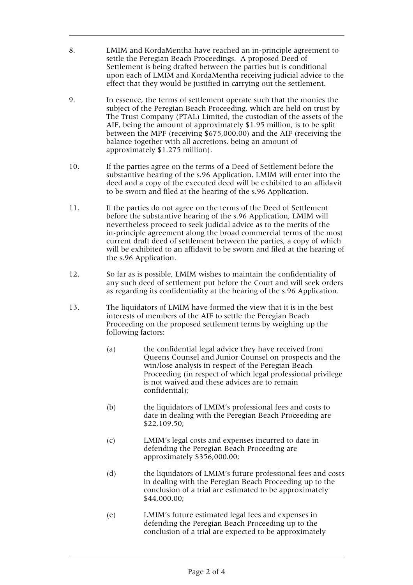- 8. LMIM and KordaMentha have reached an in-principle agreement to settle the Peregian Beach Proceedings. A proposed Deed of Settlement is being drafted between the parties but is conditional upon each of LMIM and KordaMentha receiving judicial advice to the effect that they would be justified in carrying out the settlement.
- 9. In essence, the terms of settlement operate such that the monies the subject of the Peregian Beach Proceeding, which are held on trust by The Trust Company (PTAL) Limited, the custodian of the assets of the AIF, being the amount of approximately \$1.95 million, is to be split between the MPF (receiving \$675,000.00) and the AIF (receiving the balance together with all accretions, being an amount of approximately \$1.275 million).
- 10. If the parties agree on the terms of a Deed of Settlement before the substantive hearing of the s.96 Application, LMIM will enter into the deed and a copy of the executed deed will be exhibited to an affidavit to be sworn and filed at the hearing of the s.96 Application.
- 11. If the parties do not agree on the terms of the Deed of Settlement before the substantive hearing of the s.96 Application, LMIM will nevertheless proceed to seek judicial advice as to the merits of the in-principle agreement along the broad commercial terms of the most current draft deed of settlement between the parties, a copy of which will be exhibited to an affidavit to be sworn and filed at the hearing of the s.96 Application.
- 12. So far as is possible, LMIM wishes to maintain the confidentiality of any such deed of settlement put before the Court and will seek orders as regarding its confidentiality at the hearing of the s.96 Application.
- 13. The liquidators of LMIM have formed the view that it is in the best interests of members of the AIF to settle the Peregian Beach Proceeding on the proposed settlement terms by weighing up the following factors:
	- (a) the confidential legal advice they have received from Queens Counsel and Junior Counsel on prospects and the win/lose analysis in respect of the Peregian Beach Proceeding (in respect of which legal professional privilege is not waived and these advices are to remain confidential);
	- (b) the liquidators of LMIM's professional fees and costs to date in dealing with the Peregian Beach Proceeding are \$22,109.50;
	- (c) LMIM's legal costs and expenses incurred to date in defending the Peregian Beach Proceeding are approximately \$356,000.00;
	- (d) the liquidators of LMIM's future professional fees and costs in dealing with the Peregian Beach Proceeding up to the conclusion of a trial are estimated to be approximately \$44,000.00;
	- (e) LMIM's future estimated legal fees and expenses in defending the Peregian Beach Proceeding up to the conclusion of a trial are expected to be approximately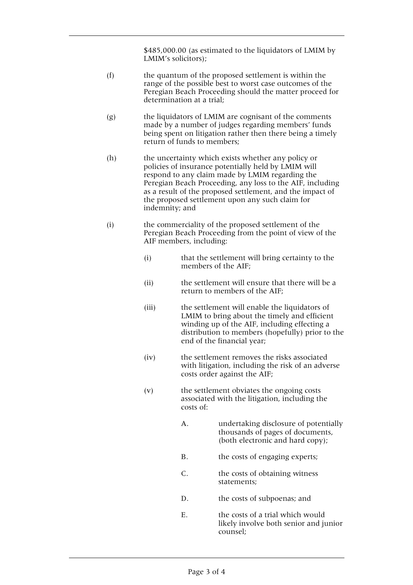\$485,000.00 (as estimated to the liquidators of LMIM by LMIM's solicitors);

- (f) the quantum of the proposed settlement is within the range of the possible best to worst case outcomes of the Peregian Beach Proceeding should the matter proceed for determination at a trial;
- (g) the liquidators of LMIM are cognisant of the comments made by a number of judges regarding members' funds being spent on litigation rather then there being a timely return of funds to members;
- (h) the uncertainty which exists whether any policy or policies of insurance potentially held by LMIM will respond to any claim made by LMIM regarding the Peregian Beach Proceeding, any loss to the AIF, including as a result of the proposed settlement, and the impact of the proposed settlement upon any such claim for indemnity; and
- (i) the commerciality of the proposed settlement of the Peregian Beach Proceeding from the point of view of the AIF members, including:
	- (i) that the settlement will bring certainty to the members of the AIF;
	- (ii) the settlement will ensure that there will be a return to members of the AIF;
	- (iii) the settlement will enable the liquidators of LMIM to bring about the timely and efficient winding up of the AIF, including effecting a distribution to members (hopefully) prior to the end of the financial year;
	- (iv) the settlement removes the risks associated with litigation, including the risk of an adverse costs order against the AIF;
	- (v) the settlement obviates the ongoing costs associated with the litigation, including the costs of:
		- A. undertaking disclosure of potentially thousands of pages of documents, (both electronic and hard copy);
		- B. the costs of engaging experts;
		- C. the costs of obtaining witness statements;
		- D. the costs of subpoenas; and
		- E. the costs of a trial which would likely involve both senior and junior counsel;